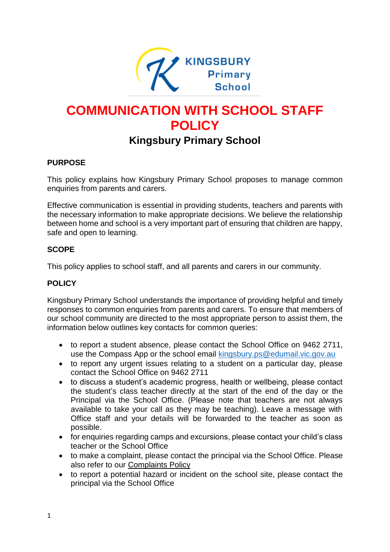

# **COMMUNICATION WITH SCHOOL STAFF POLICY**

# **Kingsbury Primary School**

### **PURPOSE**

This policy explains how Kingsbury Primary School proposes to manage common enquiries from parents and carers.

Effective communication is essential in providing students, teachers and parents with the necessary information to make appropriate decisions. We believe the relationship between home and school is a very important part of ensuring that children are happy, safe and open to learning.

#### **SCOPE**

This policy applies to school staff, and all parents and carers in our community.

## **POLICY**

Kingsbury Primary School understands the importance of providing helpful and timely responses to common enquiries from parents and carers. To ensure that members of our school community are directed to the most appropriate person to assist them, the information below outlines key contacts for common queries:

- to report a student absence, please contact the School Office on 9462 2711, use the Compass App or the school email **kingsbury.ps@edumail.vic.gov.au**
- to report any urgent issues relating to a student on a particular day, please contact the School Office on 9462 2711
- to discuss a student's academic progress, health or wellbeing, please contact the student's class teacher directly at the start of the end of the day or the Principal via the School Office. (Please note that teachers are not always available to take your call as they may be teaching). Leave a message with Office staff and your details will be forwarded to the teacher as soon as possible.
- for enquiries regarding camps and excursions, please contact your child's class teacher or the School Office
- to make a complaint, please contact the principal via the School Office. Please also refer to our [Complaints Policy](../Complaints%20Policy.docx)
- to report a potential hazard or incident on the school site, please contact the principal via the School Office